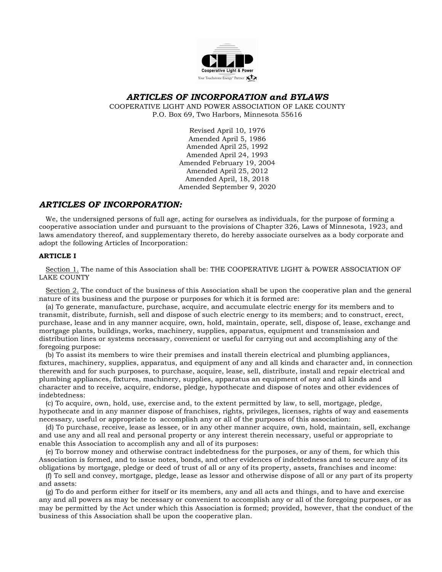

# *ARTICLES OF INCORPORATION and BYLAWS*

COOPERATIVE LIGHT AND POWER ASSOCIATION OF LAKE COUNTY P.O. Box 69, Two Harbors, Minnesota 55616

> Revised April 10, 1976 Amended April 5, 1986 Amended April 25, 1992 Amended April 24, 1993 Amended February 19, 2004 Amended April 25, 2012 Amended April, 18, 2018 Amended September 9, 2020

# *ARTICLES OF INCORPORATION:*

 We, the undersigned persons of full age, acting for ourselves as individuals, for the purpose of forming a cooperative association under and pursuant to the provisions of Chapter 326, Laws of Minnesota, 1923, and laws amendatory thereof, and supplementary thereto, do hereby associate ourselves as a body corporate and adopt the following Articles of Incorporation:

# **ARTICLE I**

 Section 1. The name of this Association shall be: THE COOPERATIVE LIGHT & POWER ASSOCIATION OF LAKE COUNTY

 Section 2. The conduct of the business of this Association shall be upon the cooperative plan and the general nature of its business and the purpose or purposes for which it is formed are:

 (a) To generate, manufacture, purchase, acquire, and accumulate electric energy for its members and to transmit, distribute, furnish, sell and dispose of such electric energy to its members; and to construct, erect, purchase, lease and in any manner acquire, own, hold, maintain, operate, sell, dispose of, lease, exchange and mortgage plants, buildings, works, machinery, supplies, apparatus, equipment and transmission and distribution lines or systems necessary, convenient or useful for carrying out and accomplishing any of the foregoing purpose:

 (b) To assist its members to wire their premises and install therein electrical and plumbing appliances, fixtures, machinery, supplies, apparatus, and equipment of any and all kinds and character and, in connection therewith and for such purposes, to purchase, acquire, lease, sell, distribute, install and repair electrical and plumbing appliances, fixtures, machinery, supplies, apparatus an equipment of any and all kinds and character and to receive, acquire, endorse, pledge, hypothecate and dispose of notes and other evidences of indebtedness:

 (c) To acquire, own, hold, use, exercise and, to the extent permitted by law, to sell, mortgage, pledge, hypothecate and in any manner dispose of franchises, rights, privileges, licenses, rights of way and easements necessary, useful or appropriate to accomplish any or all of the purposes of this association:

 (d) To purchase, receive, lease as lessee, or in any other manner acquire, own, hold, maintain, sell, exchange and use any and all real and personal property or any interest therein necessary, useful or appropriate to enable this Association to accomplish any and all of its purposes:

 (e) To borrow money and otherwise contract indebtedness for the purposes, or any of them, for which this Association is formed, and to issue notes, bonds, and other evidences of indebtedness and to secure any of its obligations by mortgage, pledge or deed of trust of all or any of its property, assets, franchises and income:

 (f) To sell and convey, mortgage, pledge, lease as lessor and otherwise dispose of all or any part of its property and assets:

 (g) To do and perform either for itself or its members, any and all acts and things, and to have and exercise any and all powers as may be necessary or convenient to accomplish any or all of the foregoing purposes, or as may be permitted by the Act under which this Association is formed; provided, however, that the conduct of the business of this Association shall be upon the cooperative plan.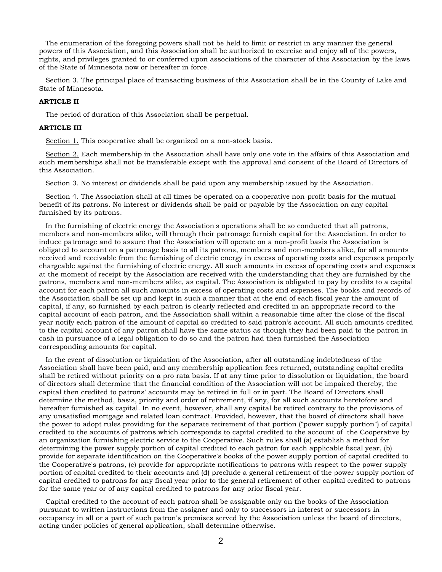The enumeration of the foregoing powers shall not be held to limit or restrict in any manner the general powers of this Association, and this Association shall be authorized to exercise and enjoy all of the powers, rights, and privileges granted to or conferred upon associations of the character of this Association by the laws of the State of Minnesota now or hereafter in force.

 Section 3. The principal place of transacting business of this Association shall be in the County of Lake and State of Minnesota.

### **ARTICLE II**

The period of duration of this Association shall be perpetual.

#### **ARTICLE III**

Section 1. This cooperative shall be organized on a non-stock basis.

 Section 2. Each membership in the Association shall have only one vote in the affairs of this Association and such memberships shall not be transferable except with the approval and consent of the Board of Directors of this Association.

Section 3. No interest or dividends shall be paid upon any membership issued by the Association.

 Section 4. The Association shall at all times be operated on a cooperative non-profit basis for the mutual benefit of its patrons. No interest or dividends shall be paid or payable by the Association on any capital furnished by its patrons.

 In the furnishing of electric energy the Association's operations shall be so conducted that all patrons, members and non-members alike, will through their patronage furnish capital for the Association. In order to induce patronage and to assure that the Association will operate on a non-profit basis the Association is obligated to account on a patronage basis to all its patrons, members and non-members alike, for all amounts received and receivable from the furnishing of electric energy in excess of operating costs and expenses properly chargeable against the furnishing of electric energy. All such amounts in excess of operating costs and expenses at the moment of receipt by the Association are received with the understanding that they are furnished by the patrons, members and non-members alike, as capital. The Association is obligated to pay by credits to a capital account for each patron all such amounts in excess of operating costs and expenses. The books and records of the Association shall be set up and kept in such a manner that at the end of each fiscal year the amount of capital, if any, so furnished by each patron is clearly reflected and credited in an appropriate record to the capital account of each patron, and the Association shall within a reasonable time after the close of the fiscal year notify each patron of the amount of capital so credited to said patron's account. All such amounts credited to the capital account of any patron shall have the same status as though they had been paid to the patron in cash in pursuance of a legal obligation to do so and the patron had then furnished the Association corresponding amounts for capital.

 In the event of dissolution or liquidation of the Association, after all outstanding indebtedness of the Association shall have been paid, and any membership application fees returned, outstanding capital credits shall be retired without priority on a pro rata basis. If at any time prior to dissolution or liquidation, the board of directors shall determine that the financial condition of the Association will not be impaired thereby, the capital then credited to patrons' accounts may be retired in full or in part. The Board of Directors shall determine the method, basis, priority and order of retirement, if any, for all such accounts heretofore and hereafter furnished as capital. In no event, however, shall any capital be retired contrary to the provisions of any unsatisfied mortgage and related loan contract. Provided, however, that the board of directors shall have the power to adopt rules providing for the separate retirement of that portion ("power supply portion") of capital credited to the accounts of patrons which corresponds to capital credited to the account of the Cooperative by an organization furnishing electric service to the Cooperative. Such rules shall (a) establish a method for determining the power supply portion of capital credited to each patron for each applicable fiscal year, (b) provide for separate identification on the Cooperative's books of the power supply portion of capital credited to the Cooperative's patrons, (c) provide for appropriate notifications to patrons with respect to the power supply portion of capital credited to their accounts and (d) preclude a general retirement of the power supply portion of capital credited to patrons for any fiscal year prior to the general retirement of other capital credited to patrons for the same year or of any capital credited to patrons for any prior fiscal year.

 Capital credited to the account of each patron shall be assignable only on the books of the Association pursuant to written instructions from the assigner and only to successors in interest or successors in occupancy in all or a part of such patron's premises served by the Association unless the board of directors, acting under policies of general application, shall determine otherwise.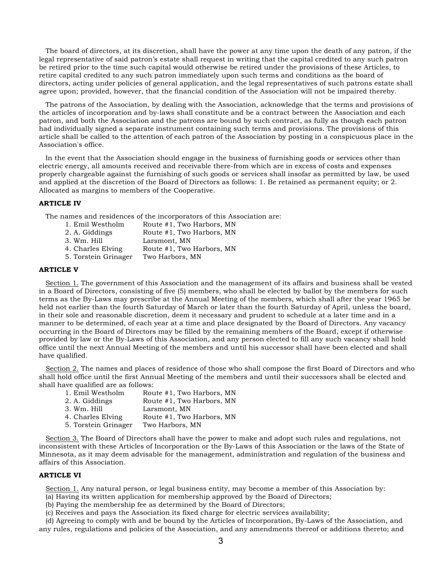The board of directors, at its discretion, shall have the power at any time upon the death of any patron, if the legal representative of said patron's estate shall request in writing that the capital credited to any such patron be retired prior to the time such capital would otherwise be retired under the provisions of these Articles, to retire capital credited to any such patron immediately upon such terms and conditions as the board of directors, acting under policies of general application, and the legal representatives of such patrons estate shall agree upon; provided, however, that the financial condition of the Association will not be impaired thereby.

 The patrons of the Association, by dealing with the Association, acknowledge that the terms and provisions of the articles of incorporation and by-laws shall constitute and be a contract between the Association and each patron, and both the Association and the patrons are bound by such contract, as fully as though each patron had individually signed a separate instrument containing such terms and provisions. The provisions of this article shall be called to the attention of each patron of the Association by posting in a conspicuous place in the Association's office.

 In the event that the Association should engage in the business of furnishing goods or services other than electric energy, all amounts received and receivable there-from which are in excess of costs and expenses properly chargeable against the furnishing of such goods or services shall insofar as permitted by law, be used and applied at the discretion of the Board of Directors as follows: 1. Be retained as permanent equity; or 2. Allocated as margins to members of the Cooperative.

# **ARTICLE IV**

The names and residences of the incorporators of this Association are:

1. Emil Westholm Route #1, Two Harbors, MN 2. A. Giddings Route #1, Two Harbors, MN 3. Wm. Hill Larsmont, MN 4. Charles Elving Route #1, Two Harbors, MN 5. Torstein Grinager Two Harbors, MN

### **ARTICLE V**

 Section 1. The government of this Association and the management of its affairs and business shall be vested in a Board of Directors, consisting of five (5) members, who shall be elected by ballot by the members for such terms as the By-Laws may prescribe at the Annual Meeting of the members, which shall after the year 1965 be held not earlier than the fourth Saturday of March or later than the fourth Saturday of April, unless the board, in their sole and reasonable discretion, deem it necessary and prudent to schedule at a later time and in a manner to be determined, of each year at a time and place designated by the Board of Directors. Any vacancy occurring in the Board of Directors may be filled by the remaining members of the Board, except if otherwise provided by law or the By-Laws of this Association, and any person elected to fill any such vacancy shall hold office until the next Annual Meeting of the members and until his successor shall have been elected and shall have qualified.

Section 2. The names and places of residence of those who shall compose the first Board of Directors and who shall hold office until the first Annual Meeting of the members and until their successors shall be elected and shall have qualified are as follows:

| Route #1, Two Harbors, MN |
|---------------------------|
| Route #1, Two Harbors, MN |
| Larsmont, MN              |
| Route #1, Two Harbors, MN |
| Two Harbors, MN           |
|                           |

 Section 3. The Board of Directors shall have the power to make and adopt such rules and regulations, not inconsistent with these Articles of Incorporation or the By-Laws of this Association or the laws of the State of Minnesota, as it may deem advisable for the management, administration and regulation of the business and affairs of this Association.

### **ARTICLE VI**

 Section 1. Any natural person, or legal business entity, may become a member of this Association by: (a) Having its written application for membership approved by the Board of Directors;

(b) Paying the membership fee as determined by the Board of Directors;

(c) Receives and pays the Association its fixed charge for electric services availability;

 (d) Agreeing to comply with and be bound by the Articles of Incorporation, By-Laws of the Association, and any rules, regulations and policies of the Association, and any amendments thereof or additions thereto; and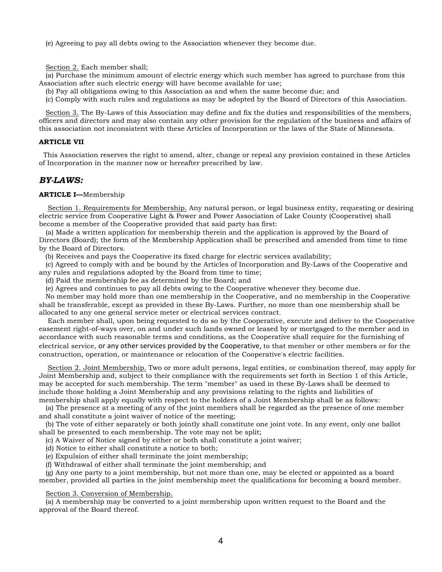(e) Agreeing to pay all debts owing to the Association whenever they become due.

Section 2. Each member shall;

 (a) Purchase the minimum amount of electric energy which such member has agreed to purchase from this Association after such electric energy will have become available for use;

(b) Pay all obligations owing to this Association as and when the same become due; and

(c) Comply with such rules and regulations as may be adopted by the Board of Directors of this Association.

 Section 3. The By-Laws of this Association may define and fix the duties and responsibilities of the members, officers and directors and may also contain any other provision for the regulation of the business and affairs of this association not inconsistent with these Articles of Incorporation or the laws of the State of Minnesota.

# **ARTICLE VII**

 This Association reserves the right to amend, alter, change or repeal any provision contained in these Articles of Incorporation in the manner now or hereafter prescribed by law.

# *BY-LAWS:*

# **ARTICLE I—**Membership

 Section 1. Requirements for Membership. Any natural person, or legal business entity, requesting or desiring electric service from Cooperative Light & Power and Power Association of Lake County (Cooperative) shall become a member of the Cooperative provided that said party has first:

 (a) Made a written application for membership therein and the application is approved by the Board of Directors (Board); the form of the Membership Application shall be prescribed and amended from time to time by the Board of Directors.

(b) Receives and pays the Cooperative its fixed charge for electric services availability;

 (c) Agreed to comply with and be bound by the Articles of Incorporation and By-Laws of the Cooperative and any rules and regulations adopted by the Board from time to time;

(d) Paid the membership fee as determined by the Board; and

(e) Agrees and continues to pay all debts owing to the Cooperative whenever they become due.

 No member may hold more than one membership in the Cooperative, and no membership in the Cooperative shall be transferable, except as provided in these By-Laws. Further, no more than one membership shall be allocated to any one general service meter or electrical services contract.

 Each member shall, upon being requested to do so by the Cooperative, execute and deliver to the Cooperative easement right-of-ways over, on and under such lands owned or leased by or mortgaged to the member and in accordance with such reasonable terms and conditions, as the Cooperative shall require for the furnishing of electrical service, or any other services provided by the Cooperative, to that member or other members or for the construction, operation, or maintenance or relocation of the Cooperative's electric facilities.

 Section 2. Joint Membership. Two or more adult persons, legal entities, or combination thereof, may apply for Joint Membership and, subject to their compliance with the requirements set forth in Section 1 of this Article, may be accepted for such membership. The term "member" as used in these By-Laws shall be deemed to include those holding a Joint Membership and any provisions relating to the rights and liabilities of membership shall apply equally with respect to the holders of a Joint Membership shall be as follows:

 (a) The presence at a meeting of any of the joint members shall be regarded as the presence of one member and shall constitute a joint waiver of notice of the meeting;

 (b) The vote of either separately or both jointly shall constitute one joint vote. In any event, only one ballot shall be presented to each membership. The vote may not be split;

(c) A Waiver of Notice signed by either or both shall constitute a joint waiver;

(d) Notice to either shall constitute a notice to both;

(e) Expulsion of either shall terminate the joint membership;

(f) Withdrawal of either shall terminate the joint membership; and

 (g) Any one party to a joint membership, but not more than one, may be elected or appointed as a board member, provided all parties in the joint membership meet the qualifications for becoming a board member.

Section 3. Conversion of Membership.

 (a) A membership may be converted to a joint membership upon written request to the Board and the approval of the Board thereof.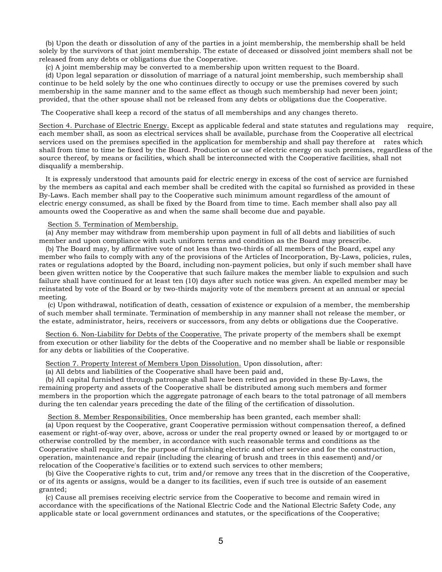(b) Upon the death or dissolution of any of the parties in a joint membership, the membership shall be held solely by the survivors of that joint membership. The estate of deceased or dissolved joint members shall not be released from any debts or obligations due the Cooperative.

(c) A joint membership may be converted to a membership upon written request to the Board.

 (d) Upon legal separation or dissolution of marriage of a natural joint membership, such membership shall continue to be held solely by the one who continues directly to occupy or use the premises covered by such membership in the same manner and to the same effect as though such membership had never been joint; provided, that the other spouse shall not be released from any debts or obligations due the Cooperative.

The Cooperative shall keep a record of the status of all memberships and any changes thereto.

Section 4. Purchase of Electric Energy. Except as applicable federal and state statutes and regulations may require, each member shall, as soon as electrical services shall be available, purchase from the Cooperative all electrical services used on the premises specified in the application for membership and shall pay therefore at rates which shall from time to time be fixed by the Board. Production or use of electric energy on such premises, regardless of the source thereof, by means or facilities, which shall be interconnected with the Cooperative facilities, shall not disqualify a membership.

 It is expressly understood that amounts paid for electric energy in excess of the cost of service are furnished by the members as capital and each member shall be credited with the capital so furnished as provided in these By-Laws. Each member shall pay to the Cooperative such minimum amount regardless of the amount of electric energy consumed, as shall be fixed by the Board from time to time. Each member shall also pay all amounts owed the Cooperative as and when the same shall become due and payable.

#### Section 5. Termination of Membership.

 (a) Any member may withdraw from membership upon payment in full of all debts and liabilities of such member and upon compliance with such uniform terms and condition as the Board may prescribe.

 (b) The Board may, by affirmative vote of not less than two-thirds of all members of the Board, expel any member who fails to comply with any of the provisions of the Articles of Incorporation, By-Laws, policies, rules, rates or regulations adopted by the Board, including non-payment policies, but only if such member shall have been given written notice by the Cooperative that such failure makes the member liable to expulsion and such failure shall have continued for at least ten (10) days after such notice was given. An expelled member may be reinstated by vote of the Board or by two-thirds majority vote of the members present at an annual or special meeting.

 (c) Upon withdrawal, notification of death, cessation of existence or expulsion of a member, the membership of such member shall terminate. Termination of membership in any manner shall not release the member, or the estate, administrator, heirs, receivers or successors, from any debts or obligations due the Cooperative.

 Section 6. Non-Liability for Debts of the Cooperative. The private property of the members shall be exempt from execution or other liability for the debts of the Cooperative and no member shall be liable or responsible for any debts or liabilities of the Cooperative.

Section 7. Property Interest of Members Upon Dissolution. Upon dissolution, after:

(a) All debts and liabilities of the Cooperative shall have been paid and,

 (b) All capital furnished through patronage shall have been retired as provided in these By-Laws, the remaining property and assets of the Cooperative shall be distributed among such members and former members in the proportion which the aggregate patronage of each bears to the total patronage of all members during the ten calendar years preceding the date of the filing of the certification of dissolution.

Section 8. Member Responsibilities. Once membership has been granted, each member shall:

 (a) Upon request by the Cooperative, grant Cooperative permission without compensation thereof, a defined easement or right-of-way over, above, across or under the real property owned or leased by or mortgaged to or otherwise controlled by the member, in accordance with such reasonable terms and conditions as the Cooperative shall require, for the purpose of furnishing electric and other service and for the construction, operation, maintenance and repair (including the clearing of brush and trees in this easement) and/or relocation of the Cooperative's facilities or to extend such services to other members;

 (b) Give the Cooperative rights to cut, trim and/or remove any trees that in the discretion of the Cooperative, or of its agents or assigns, would be a danger to its facilities, even if such tree is outside of an easement granted;

 (c) Cause all premises receiving electric service from the Cooperative to become and remain wired in accordance with the specifications of the National Electric Code and the National Electric Safety Code, any applicable state or local government ordinances and statutes, or the specifications of the Cooperative;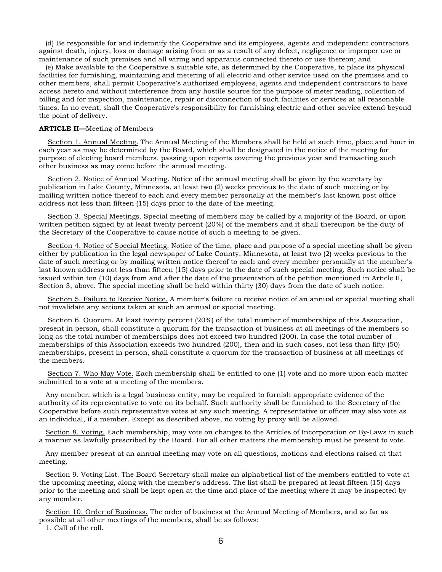(d) Be responsible for and indemnify the Cooperative and its employees, agents and independent contractors against death, injury, loss or damage arising from or as a result of any defect, negligence or improper use or maintenance of such premises and all wiring and apparatus connected thereto or use thereon; and

 (e) Make available to the Cooperative a suitable site, as determined by the Cooperative, to place its physical facilities for furnishing, maintaining and metering of all electric and other service used on the premises and to other members, shall permit Cooperative's authorized employees, agents and independent contractors to have access hereto and without interference from any hostile source for the purpose of meter reading, collection of billing and for inspection, maintenance, repair or disconnection of such facilities or services at all reasonable times. In no event, shall the Cooperative's responsibility for furnishing electric and other service extend beyond the point of delivery.

### **ARTICLE II—**Meeting of Members

 Section 1. Annual Meeting. The Annual Meeting of the Members shall be held at such time, place and hour in each year as may be determined by the Board, which shall be designated in the notice of the meeting for purpose of electing board members, passing upon reports covering the previous year and transacting such other business as may come before the annual meeting.

 Section 2. Notice of Annual Meeting. Notice of the annual meeting shall be given by the secretary by publication in Lake County, Minnesota, at least two (2) weeks previous to the date of such meeting or by mailing written notice thereof to each and every member personally at the member's last known post office address not less than fifteen (15) days prior to the date of the meeting.

 Section 3. Special Meetings. Special meeting of members may be called by a majority of the Board, or upon written petition signed by at least twenty percent (20%) of the members and it shall thereupon be the duty of the Secretary of the Cooperative to cause notice of such a meeting to be given.

 Section 4. Notice of Special Meeting. Notice of the time, place and purpose of a special meeting shall be given either by publication in the legal newspaper of Lake County, Minnesota, at least two (2) weeks previous to the date of such meeting or by mailing written notice thereof to each and every member personally at the member's last known address not less than fifteen (15) days prior to the date of such special meeting. Such notice shall be issued within ten (10) days from and after the date of the presentation of the petition mentioned in Article II, Section 3, above. The special meeting shall be held within thirty (30) days from the date of such notice.

 Section 5. Failure to Receive Notice. A member's failure to receive notice of an annual or special meeting shall not invalidate any actions taken at such an annual or special meeting.

 Section 6. Quorum. At least twenty percent (20%) of the total number of memberships of this Association, present in person, shall constitute a quorum for the transaction of business at all meetings of the members so long as the total number of memberships does not exceed two hundred (200). In case the total number of memberships of this Association exceeds two hundred (200), then and in such cases, not less than fifty (50) memberships, present in person, shall constitute a quorum for the transaction of business at all meetings of the members.

 Section 7. Who May Vote. Each membership shall be entitled to one (1) vote and no more upon each matter submitted to a vote at a meeting of the members.

 Any member, which is a legal business entity, may be required to furnish appropriate evidence of the authority of its representative to vote on its behalf. Such authority shall be furnished to the Secretary of the Cooperative before such representative votes at any such meeting. A representative or officer may also vote as an individual, if a member. Except as described above, no voting by proxy will be allowed.

 Section 8. Voting. Each membership, may vote on changes to the Articles of Incorporation or By-Laws in such a manner as lawfully prescribed by the Board. For all other matters the membership must be present to vote.

 Any member present at an annual meeting may vote on all questions, motions and elections raised at that meeting.

 Section 9. Voting List. The Board Secretary shall make an alphabetical list of the members entitled to vote at the upcoming meeting, along with the member's address. The list shall be prepared at least fifteen (15) days prior to the meeting and shall be kept open at the time and place of the meeting where it may be inspected by any member.

 Section 10. Order of Business. The order of business at the Annual Meeting of Members, and so far as possible at all other meetings of the members, shall be as follows:

1. Call of the roll.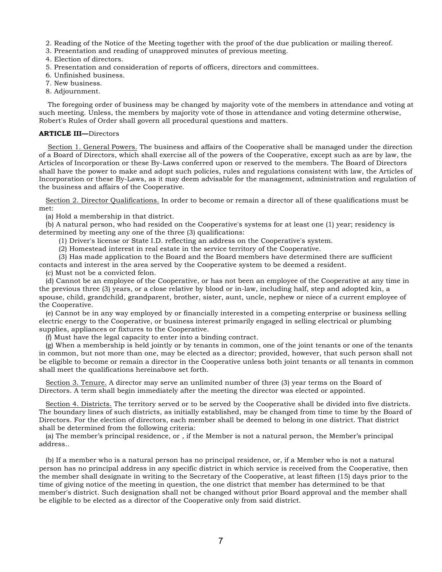- 2. Reading of the Notice of the Meeting together with the proof of the due publication or mailing thereof.
- 3. Presentation and reading of unapproved minutes of previous meeting.
- 4. Election of directors.
- 5. Presentation and consideration of reports of officers, directors and committees.
- 6. Unfinished business.
- 7. New business.
- 8. Adjournment.

 The foregoing order of business may be changed by majority vote of the members in attendance and voting at such meeting. Unless, the members by majority vote of those in attendance and voting determine otherwise, Robert's Rules of Order shall govern all procedural questions and matters.

## **ARTICLE III—**Directors

 Section 1. General Powers. The business and affairs of the Cooperative shall be managed under the direction of a Board of Directors, which shall exercise all of the powers of the Cooperative, except such as are by law, the Articles of Incorporation or these By-Laws conferred upon or reserved to the members. The Board of Directors shall have the power to make and adopt such policies, rules and regulations consistent with law, the Articles of Incorporation or these By-Laws, as it may deem advisable for the management, administration and regulation of the business and affairs of the Cooperative.

 Section 2. Director Qualifications. In order to become or remain a director all of these qualifications must be met:

(a) Hold a membership in that district.

 (b) A natural person, who had resided on the Cooperative's systems for at least one (1) year; residency is determined by meeting any one of the three (3) qualifications:

(1) Driver's license or State I.D. reflecting an address on the Cooperative's system.

(2) Homestead interest in real estate in the service territory of the Cooperative.

(3) Has made application to the Board and the Board members have determined there are sufficient

contacts and interest in the area served by the Cooperative system to be deemed a resident.

(c) Must not be a convicted felon.

 (d) Cannot be an employee of the Cooperative, or has not been an employee of the Cooperative at any time in the previous three (3) years, or a close relative by blood or in-law, including half, step and adopted kin, a spouse, child, grandchild, grandparent, brother, sister, aunt, uncle, nephew or niece of a current employee of the Cooperative.

 (e) Cannot be in any way employed by or financially interested in a competing enterprise or business selling electric energy to the Cooperative, or business interest primarily engaged in selling electrical or plumbing supplies, appliances or fixtures to the Cooperative.

(f) Must have the legal capacity to enter into a binding contract.

 (g) When a membership is held jointly or by tenants in common, one of the joint tenants or one of the tenants in common, but not more than one, may be elected as a director; provided, however, that such person shall not be eligible to become or remain a director in the Cooperative unless both joint tenants or all tenants in common shall meet the qualifications hereinabove set forth.

 Section 3. Tenure. A director may serve an unlimited number of three (3) year terms on the Board of Directors. A term shall begin immediately after the meeting the director was elected or appointed.

 Section 4. Districts. The territory served or to be served by the Cooperative shall be divided into five districts. The boundary lines of such districts, as initially established, may be changed from time to time by the Board of Directors. For the election of directors, each member shall be deemed to belong in one district. That district shall be determined from the following criteria:

 (a) The member's principal residence, or , if the Member is not a natural person, the Member's principal address..

 (b) If a member who is a natural person has no principal residence, or, if a Member who is not a natural person has no principal address in any specific district in which service is received from the Cooperative, then the member shall designate in writing to the Secretary of the Cooperative, at least fifteen (15) days prior to the time of giving notice of the meeting in question, the one district that member has determined to be that member's district. Such designation shall not be changed without prior Board approval and the member shall be eligible to be elected as a director of the Cooperative only from said district.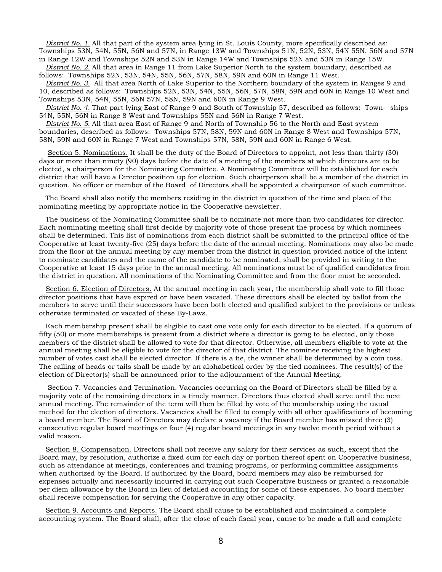*District No. 1.* All that part of the system area lying in St. Louis County, more specifically described as: Townships 53N, 54N, 55N, 56N and 57N, in Range 13W and Townships 51N, 52N, 53N, 54N 55N, 56N and 57N in Range 12W and Townships 52N and 53N in Range 14W and Townships 52N and 53N in Range 15W.

 *District No. 2.* All that area in Range 11 from Lake Superior North to the system boundary, described as follows: Townships 52N, 53N, 54N, 55N, 56N, 57N, 58N, 59N and 60N in Range 11 West.

 *District No. 3.* All that area North of Lake Superior to the Northern boundary of the system in Ranges 9 and 10, described as follows: Townships 52N, 53N, 54N, 55N, 56N, 57N, 58N, 59N and 60N in Range 10 West and Townships 53N, 54N, 55N, 56N 57N, 58N, 59N and 60N in Range 9 West.

 *District No. 4.* That part lying East of Range 9 and South of Township 57, described as follows: Town- ships 54N, 55N, 56N in Range 8 West and Townships 55N and 56N in Range 7 West.

 *District No. 5.* All that area East of Range 9 and North of Township 56 to the North and East system boundaries, described as follows: Townships 57N, 58N, 59N and 60N in Range 8 West and Townships 57N, 58N, 59N and 60N in Range 7 West and Townships 57N, 58N, 59N and 60N in Range 6 West.

 Section 5. Nominations. It shall be the duty of the Board of Directors to appoint, not less than thirty (30) days or more than ninety (90) days before the date of a meeting of the members at which directors are to be elected, a chairperson for the Nominating Committee. A Nominating Committee will be established for each district that will have a Director position up for election. Such chairperson shall be a member of the district in question. No officer or member of the Board of Directors shall be appointed a chairperson of such committee.

 The Board shall also notify the members residing in the district in question of the time and place of the nominating meeting by appropriate notice in the Cooperative newsletter.

 The business of the Nominating Committee shall be to nominate not more than two candidates for director. Each nominating meeting shall first decide by majority vote of those present the process by which nominees shall be determined. This list of nominations from each district shall be submitted to the principal office of the Cooperative at least twenty-five (25) days before the date of the annual meeting. Nominations may also be made from the floor at the annual meeting by any member from the district in question provided notice of the intent to nominate candidates and the name of the candidate to be nominated, shall be provided in writing to the Cooperative at least 15 days prior to the annual meeting. All nominations must be of qualified candidates from the district in question. All nominations of the Nominating Committee and from the floor must be seconded.

 Section 6. Election of Directors. At the annual meeting in each year, the membership shall vote to fill those director positions that have expired or have been vacated. These directors shall be elected by ballot from the members to serve until their successors have been both elected and qualified subject to the provisions or unless otherwise terminated or vacated of these By-Laws.

 Each membership present shall be eligible to cast one vote only for each director to be elected. If a quorum of fifty (50) or more memberships is present from a district where a director is going to be elected, only those members of the district shall be allowed to vote for that director. Otherwise, all members eligible to vote at the annual meeting shall be eligible to vote for the director of that district. The nominee receiving the highest number of votes cast shall be elected director. If there is a tie, the winner shall be determined by a coin toss. The calling of heads or tails shall be made by an alphabetical order by the tied nominees. The result(s) of the election of Director(s) shall be announced prior to the adjournment of the Annual Meeting.

 Section 7. Vacancies and Termination. Vacancies occurring on the Board of Directors shall be filled by a majority vote of the remaining directors in a timely manner. Directors thus elected shall serve until the next annual meeting. The remainder of the term will then be filled by vote of the membership using the usual method for the election of directors. Vacancies shall be filled to comply with all other qualifications of becoming a board member. The Board of Directors may declare a vacancy if the Board member has missed three (3) consecutive regular board meetings or four (4) regular board meetings in any twelve month period without a valid reason.

 Section 8. Compensation. Directors shall not receive any salary for their services as such, except that the Board may, by resolution, authorize a fixed sum for each day or portion thereof spent on Cooperative business, such as attendance at meetings, conferences and training programs, or performing committee assignments when authorized by the Board. If authorized by the Board, board members may also be reimbursed for expenses actually and necessarily incurred in carrying out such Cooperative business or granted a reasonable per diem allowance by the Board in lieu of detailed accounting for some of these expenses. No board member shall receive compensation for serving the Cooperative in any other capacity.

 Section 9. Accounts and Reports. The Board shall cause to be established and maintained a complete accounting system. The Board shall, after the close of each fiscal year, cause to be made a full and complete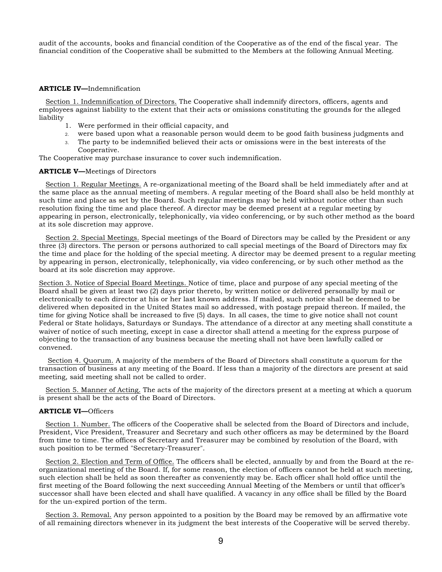audit of the accounts, books and financial condition of the Cooperative as of the end of the fiscal year. The financial condition of the Cooperative shall be submitted to the Members at the following Annual Meeting.

## **ARTICLE IV—**Indemnification

 Section 1. Indemnification of Directors. The Cooperative shall indemnify directors, officers, agents and employees against liability to the extent that their acts or omissions constituting the grounds for the alleged liability

- 1. Were performed in their official capacity, and
- 2. were based upon what a reasonable person would deem to be good faith business judgments and
- 3. The party to be indemnified believed their acts or omissions were in the best interests of the Cooperative.

The Cooperative may purchase insurance to cover such indemnification.

#### **ARTICLE V—**Meetings of Directors

 Section 1. Regular Meetings. A re-organizational meeting of the Board shall be held immediately after and at the same place as the annual meeting of members. A regular meeting of the Board shall also be held monthly at such time and place as set by the Board. Such regular meetings may be held without notice other than such resolution fixing the time and place thereof. A director may be deemed present at a regular meeting by appearing in person, electronically, telephonically, via video conferencing, or by such other method as the board at its sole discretion may approve.

 Section 2. Special Meetings. Special meetings of the Board of Directors may be called by the President or any three (3) directors. The person or persons authorized to call special meetings of the Board of Directors may fix the time and place for the holding of the special meeting. A director may be deemed present to a regular meeting by appearing in person, electronically, telephonically, via video conferencing, or by such other method as the board at its sole discretion may approve.

Section 3. Notice of Special Board Meetings. Notice of time, place and purpose of any special meeting of the Board shall be given at least two (2) days prior thereto, by written notice or delivered personally by mail or electronically to each director at his or her last known address. If mailed, such notice shall be deemed to be delivered when deposited in the United States mail so addressed, with postage prepaid thereon. If mailed, the time for giving Notice shall be increased to five (5) days. In all cases, the time to give notice shall not count Federal or State holidays, Saturdays or Sundays. The attendance of a director at any meeting shall constitute a waiver of notice of such meeting, except in case a director shall attend a meeting for the express purpose of objecting to the transaction of any business because the meeting shall not have been lawfully called or convened.

 Section 4. Quorum. A majority of the members of the Board of Directors shall constitute a quorum for the transaction of business at any meeting of the Board. If less than a majority of the directors are present at said meeting, said meeting shall not be called to order.

 Section 5. Manner of Acting. The acts of the majority of the directors present at a meeting at which a quorum is present shall be the acts of the Board of Directors.

#### **ARTICLE VI—**Officers

 Section 1. Number. The officers of the Cooperative shall be selected from the Board of Directors and include, President, Vice President, Treasurer and Secretary and such other officers as may be determined by the Board from time to time. The offices of Secretary and Treasurer may be combined by resolution of the Board, with such position to be termed "Secretary-Treasurer".

 Section 2. Election and Term of Office. The officers shall be elected, annually by and from the Board at the reorganizational meeting of the Board. If, for some reason, the election of officers cannot be held at such meeting, such election shall be held as soon thereafter as conveniently may be. Each officer shall hold office until the first meeting of the Board following the next succeeding Annual Meeting of the Members or until that officer's successor shall have been elected and shall have qualified. A vacancy in any office shall be filled by the Board for the un-expired portion of the term.

 Section 3. Removal. Any person appointed to a position by the Board may be removed by an affirmative vote of all remaining directors whenever in its judgment the best interests of the Cooperative will be served thereby.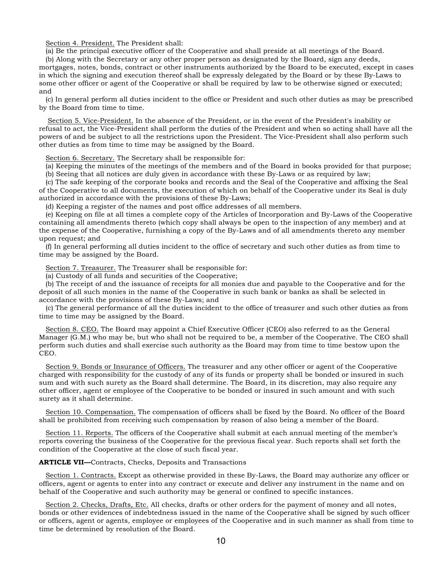Section 4. President. The President shall:

(a) Be the principal executive officer of the Cooperative and shall preside at all meetings of the Board.

 (b) Along with the Secretary or any other proper person as designated by the Board, sign any deeds, mortgages, notes, bonds, contract or other instruments authorized by the Board to be executed, except in cases in which the signing and execution thereof shall be expressly delegated by the Board or by these By-Laws to some other officer or agent of the Cooperative or shall be required by law to be otherwise signed or executed; and

 (c) In general perform all duties incident to the office or President and such other duties as may be prescribed by the Board from time to time.

 Section 5. Vice-President. In the absence of the President, or in the event of the President's inability or refusal to act, the Vice-President shall perform the duties of the President and when so acting shall have all the powers of and be subject to all the restrictions upon the President. The Vice-President shall also perform such other duties as from time to time may be assigned by the Board.

Section 6. Secretary. The Secretary shall be responsible for:

(a) Keeping the minutes of the meetings of the members and of the Board in books provided for that purpose;

(b) Seeing that all notices are duly given in accordance with these By-Laws or as required by law;

 (c) The safe keeping of the corporate books and records and the Seal of the Cooperative and affixing the Seal of the Cooperative to all documents, the execution of which on behalf of the Cooperative under its Seal is duly authorized in accordance with the provisions of these By-Laws;

(d) Keeping a register of the names and post office addresses of all members.

 (e) Keeping on file at all times a complete copy of the Articles of Incorporation and By-Laws of the Cooperative containing all amendments thereto (which copy shall always be open to the inspection of any member) and at the expense of the Cooperative, furnishing a copy of the By-Laws and of all amendments thereto any member upon request; and

 (f) In general performing all duties incident to the office of secretary and such other duties as from time to time may be assigned by the Board.

Section 7. Treasurer. The Treasurer shall be responsible for:

(a) Custody of all funds and securities of the Cooperative;

 (b) The receipt of and the issuance of receipts for all monies due and payable to the Cooperative and for the deposit of all such monies in the name of the Cooperative in such bank or banks as shall be selected in accordance with the provisions of these By-Laws; and

 (c) The general performance of all the duties incident to the office of treasurer and such other duties as from time to time may be assigned by the Board.

 Section 8. CEO. The Board may appoint a Chief Executive Officer (CEO) also referred to as the General Manager (G.M.) who may be, but who shall not be required to be, a member of the Cooperative. The CEO shall perform such duties and shall exercise such authority as the Board may from time to time bestow upon the CEO.

 Section 9. Bonds or Insurance of Officers. The treasurer and any other officer or agent of the Cooperative charged with responsibility for the custody of any of its funds or property shall be bonded or insured in such sum and with such surety as the Board shall determine. The Board, in its discretion, may also require any other officer, agent or employee of the Cooperative to be bonded or insured in such amount and with such surety as it shall determine.

 Section 10. Compensation. The compensation of officers shall be fixed by the Board. No officer of the Board shall be prohibited from receiving such compensation by reason of also being a member of the Board.

 Section 11. Reports. The officers of the Cooperative shall submit at each annual meeting of the member's reports covering the business of the Cooperative for the previous fiscal year. Such reports shall set forth the condition of the Cooperative at the close of such fiscal year.

**ARTICLE VII—**Contracts, Checks, Deposits and Transactions

 Section 1. Contracts. Except as otherwise provided in these By-Laws, the Board may authorize any officer or officers, agent or agents to enter into any contract or execute and deliver any instrument in the name and on behalf of the Cooperative and such authority may be general or confined to specific instances.

Section 2. Checks, Drafts, Etc. All checks, drafts or other orders for the payment of money and all notes, bonds or other evidences of indebtedness issued in the name of the Cooperative shall be signed by such officer or officers, agent or agents, employee or employees of the Cooperative and in such manner as shall from time to time be determined by resolution of the Board.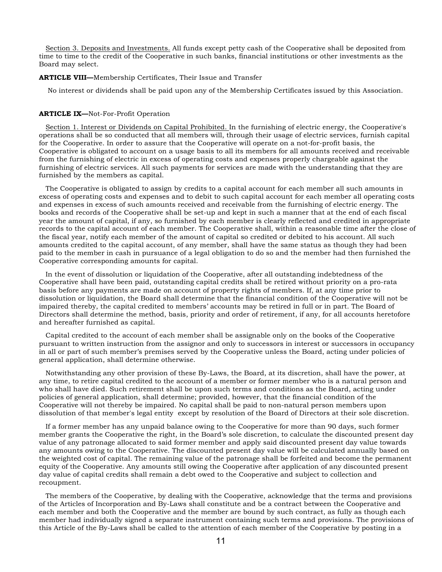Section 3. Deposits and Investments. All funds except petty cash of the Cooperative shall be deposited from time to time to the credit of the Cooperative in such banks, financial institutions or other investments as the Board may select.

### **ARTICLE VIII—**Membership Certificates, Their Issue and Transfer

No interest or dividends shall be paid upon any of the Membership Certificates issued by this Association.

### **ARTICLE IX—**Not-For-Profit Operation

 Section 1. Interest or Dividends on Capital Prohibited. In the furnishing of electric energy, the Cooperative's operations shall be so conducted that all members will, through their usage of electric services, furnish capital for the Cooperative. In order to assure that the Cooperative will operate on a not-for-profit basis, the Cooperative is obligated to account on a usage basis to all its members for all amounts received and receivable from the furnishing of electric in excess of operating costs and expenses properly chargeable against the furnishing of electric services. All such payments for services are made with the understanding that they are furnished by the members as capital.

 The Cooperative is obligated to assign by credits to a capital account for each member all such amounts in excess of operating costs and expenses and to debit to such capital account for each member all operating costs and expenses in excess of such amounts received and receivable from the furnishing of electric energy. The books and records of the Cooperative shall be set-up and kept in such a manner that at the end of each fiscal year the amount of capital, if any, so furnished by each member is clearly reflected and credited in appropriate records to the capital account of each member. The Cooperative shall, within a reasonable time after the close of the fiscal year, notify each member of the amount of capital so credited or debited to his account. All such amounts credited to the capital account, of any member, shall have the same status as though they had been paid to the member in cash in pursuance of a legal obligation to do so and the member had then furnished the Cooperative corresponding amounts for capital.

 In the event of dissolution or liquidation of the Cooperative, after all outstanding indebtedness of the Cooperative shall have been paid, outstanding capital credits shall be retired without priority on a pro-rata basis before any payments are made on account of property rights of members. If, at any time prior to dissolution or liquidation, the Board shall determine that the financial condition of the Cooperative will not be impaired thereby, the capital credited to members' accounts may be retired in full or in part. The Board of Directors shall determine the method, basis, priority and order of retirement, if any, for all accounts heretofore and hereafter furnished as capital.

 Capital credited to the account of each member shall be assignable only on the books of the Cooperative pursuant to written instruction from the assignor and only to successors in interest or successors in occupancy in all or part of such member's premises served by the Cooperative unless the Board, acting under policies of general application, shall determine otherwise.

 Notwithstanding any other provision of these By-Laws, the Board, at its discretion, shall have the power, at any time, to retire capital credited to the account of a member or former member who is a natural person and who shall have died. Such retirement shall be upon such terms and conditions as the Board, acting under policies of general application, shall determine; provided, however, that the financial condition of the Cooperative will not thereby be impaired. No capital shall be paid to non-natural person members upon dissolution of that member's legal entity except by resolution of the Board of Directors at their sole discretion.

 If a former member has any unpaid balance owing to the Cooperative for more than 90 days, such former member grants the Cooperative the right, in the Board's sole discretion, to calculate the discounted present day value of any patronage allocated to said former member and apply said discounted present day value towards any amounts owing to the Cooperative. The discounted present day value will be calculated annually based on the weighted cost of capital. The remaining value of the patronage shall be forfeited and become the permanent equity of the Cooperative. Any amounts still owing the Cooperative after application of any discounted present day value of capital credits shall remain a debt owed to the Cooperative and subject to collection and recoupment.

 The members of the Cooperative, by dealing with the Cooperative, acknowledge that the terms and provisions of the Articles of Incorporation and By-Laws shall constitute and be a contract between the Cooperative and each member and both the Cooperative and the member are bound by such contract, as fully as though each member had individually signed a separate instrument containing such terms and provisions. The provisions of this Article of the By-Laws shall be called to the attention of each member of the Cooperative by posting in a